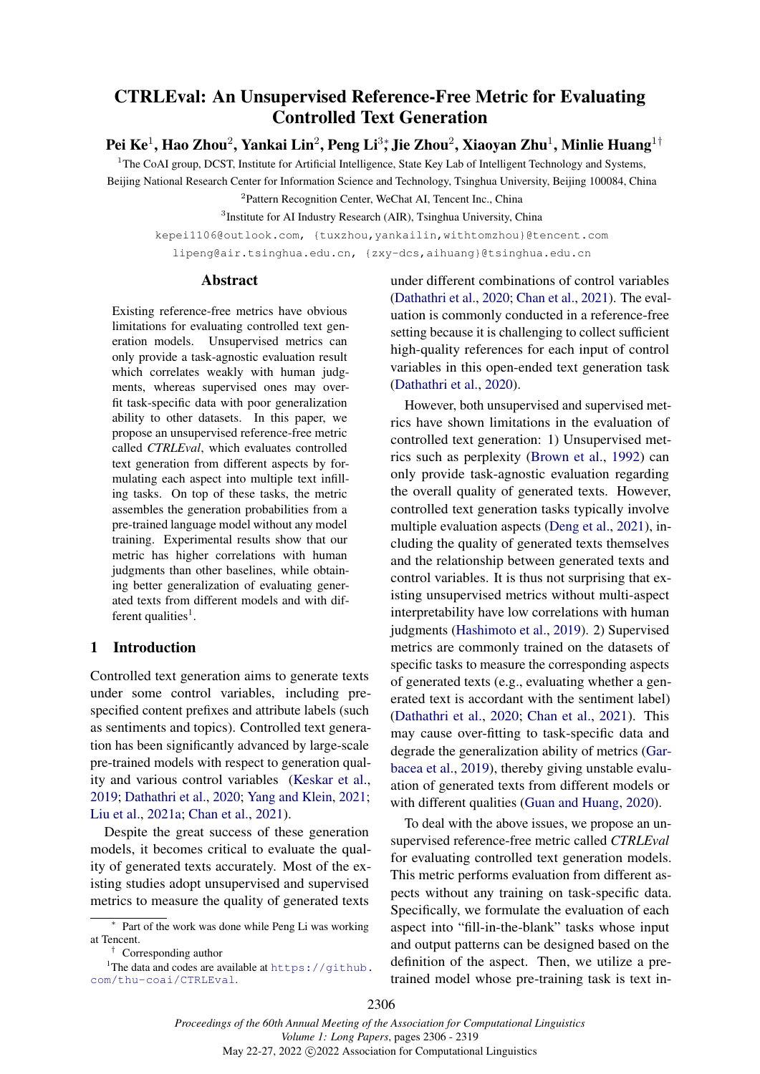# <span id="page-0-0"></span>CTRLEval: An Unsupervised Reference-Free Metric for Evaluating Controlled Text Generation

Pei Ke $^1$  $^1$ [,](#page-0-0) Hao Zhou $^2$ , Yankai Lin $^2$ , Peng Li $^3$ \*, Jie Zhou $^2$ , Xiaoyan Zhu $^1$ , Minlie Huang $^{1\dagger}$ 

 $1$ The CoAI group, DCST, Institute for Artificial Intelligence, State Key Lab of Intelligent Technology and Systems, Beijing National Research Center for Information Science and Technology, Tsinghua University, Beijing 100084, China

<sup>2</sup> Pattern Recognition Center, WeChat AI, Tencent Inc., China

<sup>3</sup>Institute for AI Industry Research (AIR), Tsinghua University, China

kepei1106@outlook.com, {tuxzhou,yankailin,withtomzhou}@tencent.com lipeng@air.tsinghua.edu.cn, {zxy-dcs,aihuang}@tsinghua.edu.cn

#### Abstract

Existing reference-free metrics have obvious limitations for evaluating controlled text generation models. Unsupervised metrics can only provide a task-agnostic evaluation result which correlates weakly with human judgments, whereas supervised ones may overfit task-specific data with poor generalization ability to other datasets. In this paper, we propose an unsupervised reference-free metric called *CTRLEval*, which evaluates controlled text generation from different aspects by formulating each aspect into multiple text infilling tasks. On top of these tasks, the metric assembles the generation probabilities from a pre-trained language model without any model training. Experimental results show that our metric has higher correlations with human judgments than other baselines, while obtaining better generalization of evaluating generated texts from different models and with dif-ferent qualities<sup>[1](#page-0-1)</sup>.

## 1 Introduction

Controlled text generation aims to generate texts under some control variables, including prespecified content prefixes and attribute labels (such as sentiments and topics). Controlled text generation has been significantly advanced by large-scale pre-trained models with respect to generation quality and various control variables [\(Keskar et al.,](#page-9-0) [2019;](#page-9-0) [Dathathri et al.,](#page-8-0) [2020;](#page-8-0) [Yang and Klein,](#page-10-0) [2021;](#page-10-0) [Liu et al.,](#page-9-1) [2021a;](#page-9-1) [Chan et al.,](#page-8-1) [2021\)](#page-8-1).

Despite the great success of these generation models, it becomes critical to evaluate the quality of generated texts accurately. Most of the existing studies adopt unsupervised and supervised metrics to measure the quality of generated texts

under different combinations of control variables [\(Dathathri et al.,](#page-8-0) [2020;](#page-8-0) [Chan et al.,](#page-8-1) [2021\)](#page-8-1). The evaluation is commonly conducted in a reference-free setting because it is challenging to collect sufficient high-quality references for each input of control variables in this open-ended text generation task [\(Dathathri et al.,](#page-8-0) [2020\)](#page-8-0).

However, both unsupervised and supervised metrics have shown limitations in the evaluation of controlled text generation: 1) Unsupervised metrics such as perplexity [\(Brown et al.,](#page-8-2) [1992\)](#page-8-2) can only provide task-agnostic evaluation regarding the overall quality of generated texts. However, controlled text generation tasks typically involve multiple evaluation aspects [\(Deng et al.,](#page-8-3) [2021\)](#page-8-3), including the quality of generated texts themselves and the relationship between generated texts and control variables. It is thus not surprising that existing unsupervised metrics without multi-aspect interpretability have low correlations with human judgments [\(Hashimoto et al.,](#page-9-2) [2019\)](#page-9-2). 2) Supervised metrics are commonly trained on the datasets of specific tasks to measure the corresponding aspects of generated texts (e.g., evaluating whether a generated text is accordant with the sentiment label) [\(Dathathri et al.,](#page-8-0) [2020;](#page-8-0) [Chan et al.,](#page-8-1) [2021\)](#page-8-1). This may cause over-fitting to task-specific data and degrade the generalization ability of metrics [\(Gar](#page-9-3)[bacea et al.,](#page-9-3) [2019\)](#page-9-3), thereby giving unstable evaluation of generated texts from different models or with different qualities [\(Guan and Huang,](#page-9-4) [2020\)](#page-9-4).

To deal with the above issues, we propose an unsupervised reference-free metric called *CTRLEval* for evaluating controlled text generation models. This metric performs evaluation from different aspects without any training on task-specific data. Specifically, we formulate the evaluation of each aspect into "fill-in-the-blank" tasks whose input and output patterns can be designed based on the definition of the aspect. Then, we utilize a pretrained model whose pre-training task is text in-

<sup>∗</sup> Part of the work was done while Peng Li was working at Tencent.

<span id="page-0-1"></span><sup>†</sup> Corresponding author

<sup>&</sup>lt;sup>1</sup>The data and codes are available at  $https://github.$ [com/thu-coai/CTRLEval](https://github.com/thu-coai/CTRLEval).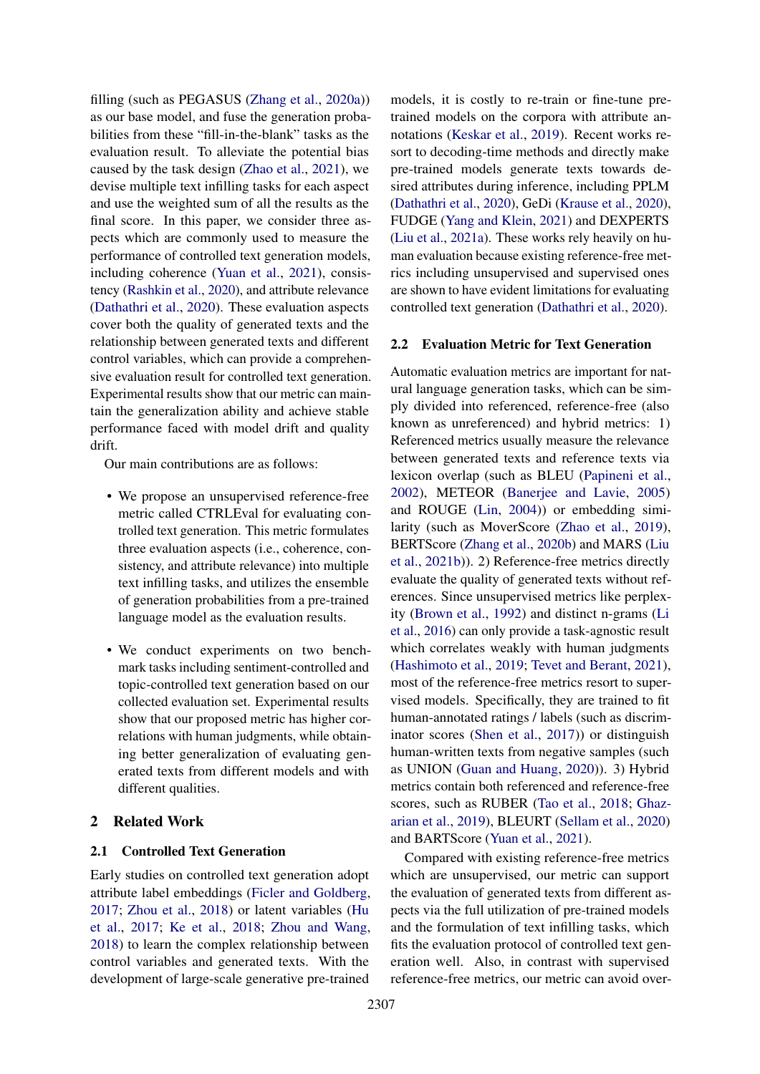filling (such as PEGASUS [\(Zhang et al.,](#page-10-1) [2020a\)](#page-10-1)) as our base model, and fuse the generation probabilities from these "fill-in-the-blank" tasks as the evaluation result. To alleviate the potential bias caused by the task design [\(Zhao et al.,](#page-10-2) [2021\)](#page-10-2), we devise multiple text infilling tasks for each aspect and use the weighted sum of all the results as the final score. In this paper, we consider three aspects which are commonly used to measure the performance of controlled text generation models, including coherence [\(Yuan et al.,](#page-10-3) [2021\)](#page-10-3), consistency [\(Rashkin et al.,](#page-10-4) [2020\)](#page-10-4), and attribute relevance [\(Dathathri et al.,](#page-8-0) [2020\)](#page-8-0). These evaluation aspects cover both the quality of generated texts and the relationship between generated texts and different control variables, which can provide a comprehensive evaluation result for controlled text generation. Experimental results show that our metric can maintain the generalization ability and achieve stable performance faced with model drift and quality drift.

Our main contributions are as follows:

- We propose an unsupervised reference-free metric called CTRLEval for evaluating controlled text generation. This metric formulates three evaluation aspects (i.e., coherence, consistency, and attribute relevance) into multiple text infilling tasks, and utilizes the ensemble of generation probabilities from a pre-trained language model as the evaluation results.
- We conduct experiments on two benchmark tasks including sentiment-controlled and topic-controlled text generation based on our collected evaluation set. Experimental results show that our proposed metric has higher correlations with human judgments, while obtaining better generalization of evaluating generated texts from different models and with different qualities.

## 2 Related Work

## 2.1 Controlled Text Generation

Early studies on controlled text generation adopt attribute label embeddings [\(Ficler and Goldberg,](#page-9-5) [2017;](#page-9-5) [Zhou et al.,](#page-10-5) [2018\)](#page-10-5) or latent variables [\(Hu](#page-9-6) [et al.,](#page-9-6) [2017;](#page-9-6) [Ke et al.,](#page-9-7) [2018;](#page-9-7) [Zhou and Wang,](#page-10-6) [2018\)](#page-10-6) to learn the complex relationship between control variables and generated texts. With the development of large-scale generative pre-trained

models, it is costly to re-train or fine-tune pretrained models on the corpora with attribute annotations [\(Keskar et al.,](#page-9-0) [2019\)](#page-9-0). Recent works resort to decoding-time methods and directly make pre-trained models generate texts towards desired attributes during inference, including PPLM [\(Dathathri et al.,](#page-8-0) [2020\)](#page-8-0), GeDi [\(Krause et al.,](#page-9-8) [2020\)](#page-9-8), FUDGE [\(Yang and Klein,](#page-10-0) [2021\)](#page-10-0) and DEXPERTS [\(Liu et al.,](#page-9-1) [2021a\)](#page-9-1). These works rely heavily on human evaluation because existing reference-free metrics including unsupervised and supervised ones are shown to have evident limitations for evaluating controlled text generation [\(Dathathri et al.,](#page-8-0) [2020\)](#page-8-0).

## 2.2 Evaluation Metric for Text Generation

Automatic evaluation metrics are important for natural language generation tasks, which can be simply divided into referenced, reference-free (also known as unreferenced) and hybrid metrics: 1) Referenced metrics usually measure the relevance between generated texts and reference texts via lexicon overlap (such as BLEU [\(Papineni et al.,](#page-10-7) [2002\)](#page-10-7), METEOR [\(Banerjee and Lavie,](#page-8-4) [2005\)](#page-8-4) and ROUGE [\(Lin,](#page-9-9) [2004\)](#page-9-9)) or embedding similarity (such as MoverScore [\(Zhao et al.,](#page-10-8) [2019\)](#page-10-8), BERTScore [\(Zhang et al.,](#page-10-9) [2020b\)](#page-10-9) and MARS [\(Liu](#page-9-10) [et al.,](#page-9-10) [2021b\)](#page-9-10)). 2) Reference-free metrics directly evaluate the quality of generated texts without references. Since unsupervised metrics like perplexity [\(Brown et al.,](#page-8-2) [1992\)](#page-8-2) and distinct n-grams [\(Li](#page-9-11) [et al.,](#page-9-11) [2016\)](#page-9-11) can only provide a task-agnostic result which correlates weakly with human judgments [\(Hashimoto et al.,](#page-9-2) [2019;](#page-9-2) [Tevet and Berant,](#page-10-10) [2021\)](#page-10-10), most of the reference-free metrics resort to supervised models. Specifically, they are trained to fit human-annotated ratings / labels (such as discriminator scores [\(Shen et al.,](#page-10-11) [2017\)](#page-10-11)) or distinguish human-written texts from negative samples (such as UNION [\(Guan and Huang,](#page-9-4) [2020\)](#page-9-4)). 3) Hybrid metrics contain both referenced and reference-free scores, such as RUBER [\(Tao et al.,](#page-10-12) [2018;](#page-10-12) [Ghaz](#page-9-12)[arian et al.,](#page-9-12) [2019\)](#page-9-12), BLEURT [\(Sellam et al.,](#page-10-13) [2020\)](#page-10-13) and BARTScore [\(Yuan et al.,](#page-10-3) [2021\)](#page-10-3).

Compared with existing reference-free metrics which are unsupervised, our metric can support the evaluation of generated texts from different aspects via the full utilization of pre-trained models and the formulation of text infilling tasks, which fits the evaluation protocol of controlled text generation well. Also, in contrast with supervised reference-free metrics, our metric can avoid over-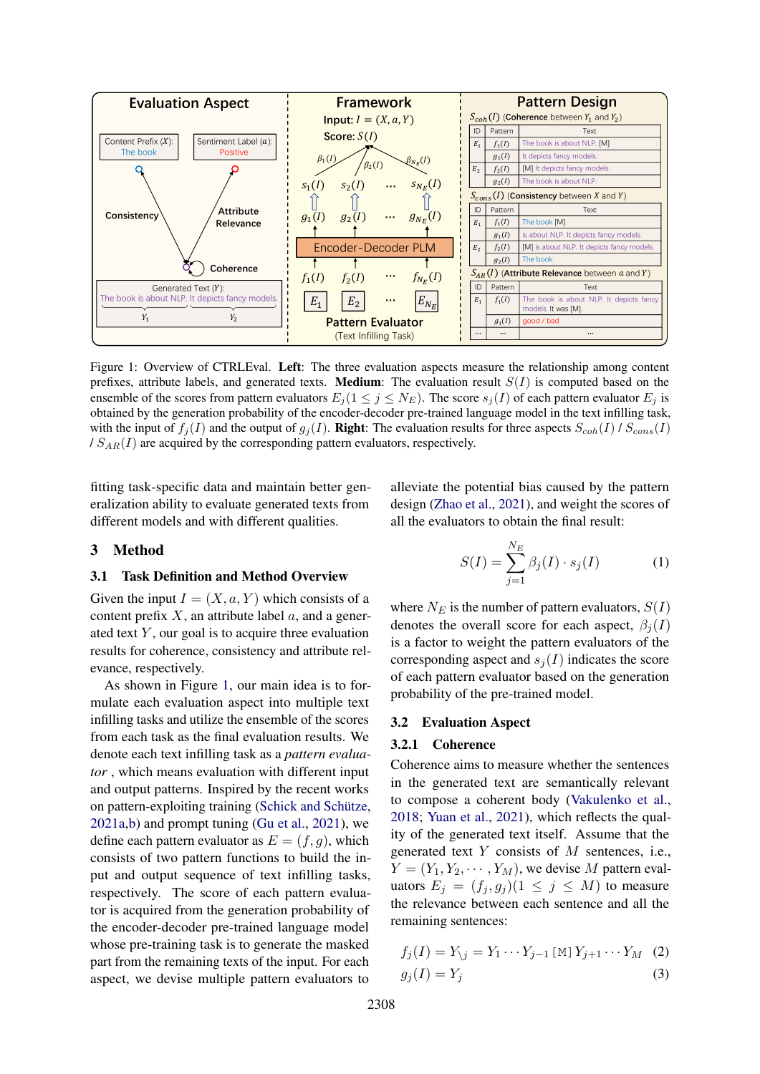<span id="page-2-0"></span>

Figure 1: Overview of CTRLEval. Left: The three evaluation aspects measure the relationship among content prefixes, attribute labels, and generated texts. **Medium**: The evaluation result  $S(I)$  is computed based on the ensemble of the scores from pattern evaluators  $E_i (1 \leq j \leq N_E)$ . The score  $s_i(I)$  of each pattern evaluator  $E_i$  is obtained by the generation probability of the encoder-decoder pre-trained language model in the text infilling task, with the input of  $f_i(I)$  and the output of  $g_i(I)$ . **Right**: The evaluation results for three aspects  $S_{coh}(I)$  /  $S_{cons}(I)$  $/ S_{AR}(I)$  are acquired by the corresponding pattern evaluators, respectively.

fitting task-specific data and maintain better generalization ability to evaluate generated texts from different models and with different qualities.

alleviate the potential bias caused by the pattern design [\(Zhao et al.,](#page-10-2) [2021\)](#page-10-2), and weight the scores of all the evaluators to obtain the final result:

 $\mathbf{v}$ 

### 3 Method

### 3.1 Task Definition and Method Overview

Given the input  $I = (X, a, Y)$  which consists of a content prefix  $X$ , an attribute label  $a$ , and a generated text  $Y$ , our goal is to acquire three evaluation results for coherence, consistency and attribute relevance, respectively.

As shown in Figure [1,](#page-2-0) our main idea is to formulate each evaluation aspect into multiple text infilling tasks and utilize the ensemble of the scores from each task as the final evaluation results. We denote each text infilling task as a *pattern evaluator* , which means evaluation with different input and output patterns. Inspired by the recent works on pattern-exploiting training [\(Schick and Schütze,](#page-10-14) [2021a,](#page-10-14)[b\)](#page-10-15) and prompt tuning [\(Gu et al.,](#page-9-13) [2021\)](#page-9-13), we define each pattern evaluator as  $E = (f, q)$ , which consists of two pattern functions to build the input and output sequence of text infilling tasks, respectively. The score of each pattern evaluator is acquired from the generation probability of the encoder-decoder pre-trained language model whose pre-training task is to generate the masked part from the remaining texts of the input. For each aspect, we devise multiple pattern evaluators to

$$
S(I) = \sum_{j=1}^{N_E} \beta_j(I) \cdot s_j(I) \tag{1}
$$

where  $N_E$  is the number of pattern evaluators,  $S(I)$ denotes the overall score for each aspect,  $\beta_i(I)$ is a factor to weight the pattern evaluators of the corresponding aspect and  $s_i(I)$  indicates the score of each pattern evaluator based on the generation probability of the pre-trained model.

#### 3.2 Evaluation Aspect

#### 3.2.1 Coherence

Coherence aims to measure whether the sentences in the generated text are semantically relevant to compose a coherent body [\(Vakulenko et al.,](#page-10-16) [2018;](#page-10-16) [Yuan et al.,](#page-10-3) [2021\)](#page-10-3), which reflects the quality of the generated text itself. Assume that the generated text Y consists of M sentences, i.e.,  $Y = (Y_1, Y_2, \cdots, Y_M)$ , we devise M pattern evaluators  $E_j = (f_j, g_j) (1 \leq j \leq M)$  to measure the relevance between each sentence and all the remaining sentences:

$$
f_j(I) = Y_{\setminus j} = Y_1 \cdots Y_{j-1} [M] Y_{j+1} \cdots Y_M \quad (2)
$$
  

$$
g_j(I) = Y_j \quad (3)
$$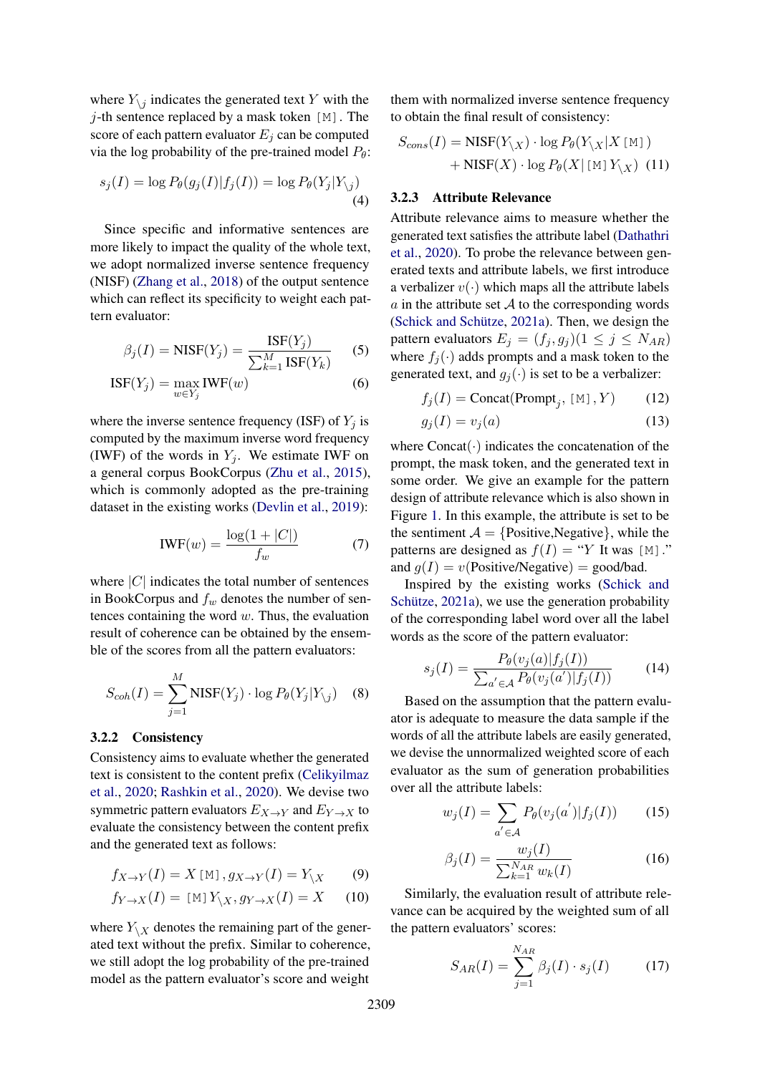where  $Y_{\setminus j}$  indicates the generated text Y with the  $j$ -th sentence replaced by a mask token [M]. The score of each pattern evaluator  $E_i$  can be computed via the log probability of the pre-trained model  $P_{\theta}$ :

$$
s_j(I) = \log P_{\theta}(g_j(I)|f_j(I)) = \log P_{\theta}(Y_j|Y_{\backslash j})
$$
\n(4)

Since specific and informative sentences are more likely to impact the quality of the whole text, we adopt normalized inverse sentence frequency (NISF) [\(Zhang et al.,](#page-10-17) [2018\)](#page-10-17) of the output sentence which can reflect its specificity to weight each pattern evaluator:

$$
\beta_j(I) = \text{NISF}(Y_j) = \frac{\text{ISF}(Y_j)}{\sum_{k=1}^M \text{ISF}(Y_k)}
$$
(5)

$$
ISF(Y_j) = \max_{w \in Y_j} IWF(w)
$$
 (6)

where the inverse sentence frequency (ISF) of  $Y_i$  is computed by the maximum inverse word frequency (IWF) of the words in  $Y_i$ . We estimate IWF on a general corpus BookCorpus [\(Zhu et al.,](#page-10-18) [2015\)](#page-10-18), which is commonly adopted as the pre-training dataset in the existing works [\(Devlin et al.,](#page-8-5) [2019\)](#page-8-5):

$$
IWF(w) = \frac{\log(1 + |C|)}{f_w} \tag{7}
$$

where  $|C|$  indicates the total number of sentences in BookCorpus and  $f_w$  denotes the number of sentences containing the word  $w$ . Thus, the evaluation result of coherence can be obtained by the ensemble of the scores from all the pattern evaluators:

$$
S_{coh}(I) = \sum_{j=1}^{M} \text{NISF}(Y_j) \cdot \log P_{\theta}(Y_j | Y_{\backslash j}) \quad (8)
$$

### 3.2.2 Consistency

Consistency aims to evaluate whether the generated text is consistent to the content prefix [\(Celikyilmaz](#page-8-6) [et al.,](#page-8-6) [2020;](#page-8-6) [Rashkin et al.,](#page-10-4) [2020\)](#page-10-4). We devise two symmetric pattern evaluators  $E_{X\to Y}$  and  $E_{Y\to X}$  to evaluate the consistency between the content prefix and the generated text as follows:

$$
f_{X \to Y}(I) = X \text{ [M]}, g_{X \to Y}(I) = Y_{\backslash X} \tag{9}
$$

$$
f_{Y \to X}(I) = [\mathbb{M}] Y_{\backslash X}, g_{Y \to X}(I) = X \qquad (10)
$$

where  $Y_{\setminus X}$  denotes the remaining part of the generated text without the prefix. Similar to coherence, we still adopt the log probability of the pre-trained model as the pattern evaluator's score and weight

them with normalized inverse sentence frequency to obtain the final result of consistency:

$$
S_{cons}(I) = \text{NISF}(Y_{\backslash X}) \cdot \log P_{\theta}(Y_{\backslash X}|X \text{ [M]})
$$

$$
+ \text{NISF}(X) \cdot \log P_{\theta}(X | \text{ [M] } Y_{\backslash X}) \text{ (11)}
$$

#### 3.2.3 Attribute Relevance

Attribute relevance aims to measure whether the generated text satisfies the attribute label [\(Dathathri](#page-8-0) [et al.,](#page-8-0) [2020\)](#page-8-0). To probe the relevance between generated texts and attribute labels, we first introduce a verbalizer  $v(\cdot)$  which maps all the attribute labels  $\alpha$  in the attribute set  $\mathcal A$  to the corresponding words [\(Schick and Schütze,](#page-10-14) [2021a\)](#page-10-14). Then, we design the pattern evaluators  $E_j = (f_j, g_j) (1 \le j \le N_{AR})$ where  $f_i(\cdot)$  adds prompts and a mask token to the generated text, and  $g_i(\cdot)$  is set to be a verbalizer:

$$
f_j(I) = \text{Concat}(\text{Prompt}_j, [M], Y) \tag{12}
$$

$$
g_j(I) = v_j(a) \tag{13}
$$

where  $Concat(\cdot)$  indicates the concatenation of the prompt, the mask token, and the generated text in some order. We give an example for the pattern design of attribute relevance which is also shown in Figure [1.](#page-2-0) In this example, the attribute is set to be the sentiment  $A = \{Positive, Negative\}$ , while the patterns are designed as  $f(I) = "Y]$  It was [M]." and  $g(I) = v(\text{Positive/Negative}) = \text{good/bad}.$ 

Inspired by the existing works [\(Schick and](#page-10-14) [Schütze,](#page-10-14) [2021a\)](#page-10-14), we use the generation probability of the corresponding label word over all the label words as the score of the pattern evaluator:

$$
s_j(I) = \frac{P_{\theta}(v_j(a)|f_j(I))}{\sum_{a' \in \mathcal{A}} P_{\theta}(v_j(a')|f_j(I))}
$$
(14)

Based on the assumption that the pattern evaluator is adequate to measure the data sample if the words of all the attribute labels are easily generated, we devise the unnormalized weighted score of each evaluator as the sum of generation probabilities over all the attribute labels:

$$
w_j(I) = \sum_{a' \in \mathcal{A}} P_{\theta}(v_j(a') | f_j(I)) \qquad (15)
$$

$$
\beta_j(I) = \frac{w_j(I)}{\sum_{k=1}^{N_{AR}} w_k(I)}\tag{16}
$$

Similarly, the evaluation result of attribute relevance can be acquired by the weighted sum of all the pattern evaluators' scores:

$$
S_{AR}(I) = \sum_{j=1}^{N_{AR}} \beta_j(I) \cdot s_j(I) \tag{17}
$$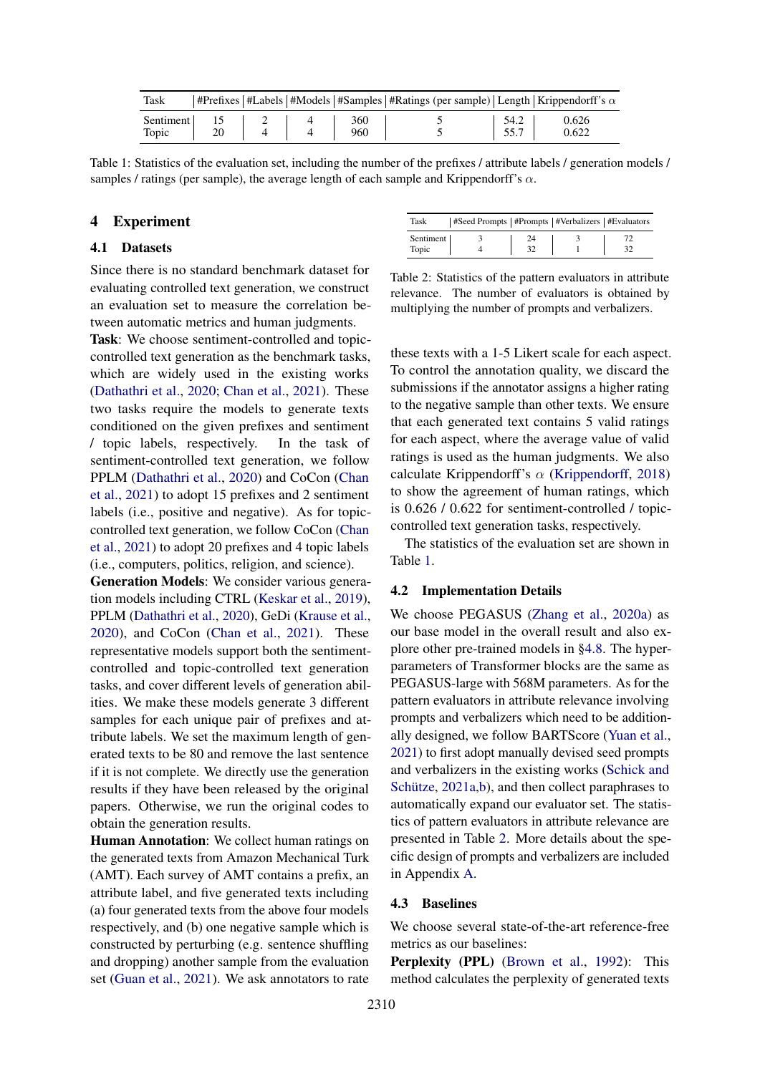<span id="page-4-0"></span>

| Task      |      |  |     |      | #Prefixes   #Labels   #Models   #Samples   #Ratings (per sample)   Length   Krippendorff's $\alpha$ |
|-----------|------|--|-----|------|-----------------------------------------------------------------------------------------------------|
| Sentiment |      |  | 360 | 54.2 | 0.626                                                                                               |
| Topic     | - 20 |  | 960 | 55.7 | 0.622                                                                                               |

Table 1: Statistics of the evaluation set, including the number of the prefixes / attribute labels / generation models / samples / ratings (per sample), the average length of each sample and Krippendorff's  $\alpha$ .

## 4 Experiment

## <span id="page-4-2"></span>4.1 Datasets

Since there is no standard benchmark dataset for evaluating controlled text generation, we construct an evaluation set to measure the correlation between automatic metrics and human judgments.

Task: We choose sentiment-controlled and topiccontrolled text generation as the benchmark tasks, which are widely used in the existing works [\(Dathathri et al.,](#page-8-0) [2020;](#page-8-0) [Chan et al.,](#page-8-1) [2021\)](#page-8-1). These two tasks require the models to generate texts conditioned on the given prefixes and sentiment / topic labels, respectively. In the task of sentiment-controlled text generation, we follow PPLM [\(Dathathri et al.,](#page-8-0) [2020\)](#page-8-0) and CoCon [\(Chan](#page-8-1) [et al.,](#page-8-1) [2021\)](#page-8-1) to adopt 15 prefixes and 2 sentiment labels (i.e., positive and negative). As for topiccontrolled text generation, we follow CoCon [\(Chan](#page-8-1) [et al.,](#page-8-1) [2021\)](#page-8-1) to adopt 20 prefixes and 4 topic labels (i.e., computers, politics, religion, and science).

Generation Models: We consider various generation models including CTRL [\(Keskar et al.,](#page-9-0) [2019\)](#page-9-0), PPLM [\(Dathathri et al.,](#page-8-0) [2020\)](#page-8-0), GeDi [\(Krause et al.,](#page-9-8) [2020\)](#page-9-8), and CoCon [\(Chan et al.,](#page-8-1) [2021\)](#page-8-1). These representative models support both the sentimentcontrolled and topic-controlled text generation tasks, and cover different levels of generation abilities. We make these models generate 3 different samples for each unique pair of prefixes and attribute labels. We set the maximum length of generated texts to be 80 and remove the last sentence if it is not complete. We directly use the generation results if they have been released by the original papers. Otherwise, we run the original codes to obtain the generation results.

Human Annotation: We collect human ratings on the generated texts from Amazon Mechanical Turk (AMT). Each survey of AMT contains a prefix, an attribute label, and five generated texts including (a) four generated texts from the above four models respectively, and (b) one negative sample which is constructed by perturbing (e.g. sentence shuffling and dropping) another sample from the evaluation set [\(Guan et al.,](#page-9-14) [2021\)](#page-9-14). We ask annotators to rate

<span id="page-4-1"></span>

| Task               | #Seed Prompts   #Prompts   #Verbalizers   #Evaluators |  |  |
|--------------------|-------------------------------------------------------|--|--|
| Sentiment<br>Topic |                                                       |  |  |

Table 2: Statistics of the pattern evaluators in attribute relevance. The number of evaluators is obtained by multiplying the number of prompts and verbalizers.

these texts with a 1-5 Likert scale for each aspect. To control the annotation quality, we discard the submissions if the annotator assigns a higher rating to the negative sample than other texts. We ensure that each generated text contains 5 valid ratings for each aspect, where the average value of valid ratings is used as the human judgments. We also calculate Krippendorff's  $\alpha$  [\(Krippendorff,](#page-9-15) [2018\)](#page-9-15) to show the agreement of human ratings, which is 0.626 / 0.622 for sentiment-controlled / topiccontrolled text generation tasks, respectively.

The statistics of the evaluation set are shown in Table [1.](#page-4-0)

#### 4.2 Implementation Details

We choose PEGASUS [\(Zhang et al.,](#page-10-1) [2020a\)](#page-10-1) as our base model in the overall result and also explore other pre-trained models in [§4.8.](#page-7-0) The hyperparameters of Transformer blocks are the same as PEGASUS-large with 568M parameters. As for the pattern evaluators in attribute relevance involving prompts and verbalizers which need to be additionally designed, we follow BARTScore [\(Yuan et al.,](#page-10-3) [2021\)](#page-10-3) to first adopt manually devised seed prompts and verbalizers in the existing works [\(Schick and](#page-10-14) [Schütze,](#page-10-14) [2021a](#page-10-14)[,b\)](#page-10-15), and then collect paraphrases to automatically expand our evaluator set. The statistics of pattern evaluators in attribute relevance are presented in Table [2.](#page-4-1) More details about the specific design of prompts and verbalizers are included in Appendix [A.](#page-11-0)

### 4.3 Baselines

We choose several state-of-the-art reference-free metrics as our baselines:

Perplexity (PPL) [\(Brown et al.,](#page-8-2) [1992\)](#page-8-2): This method calculates the perplexity of generated texts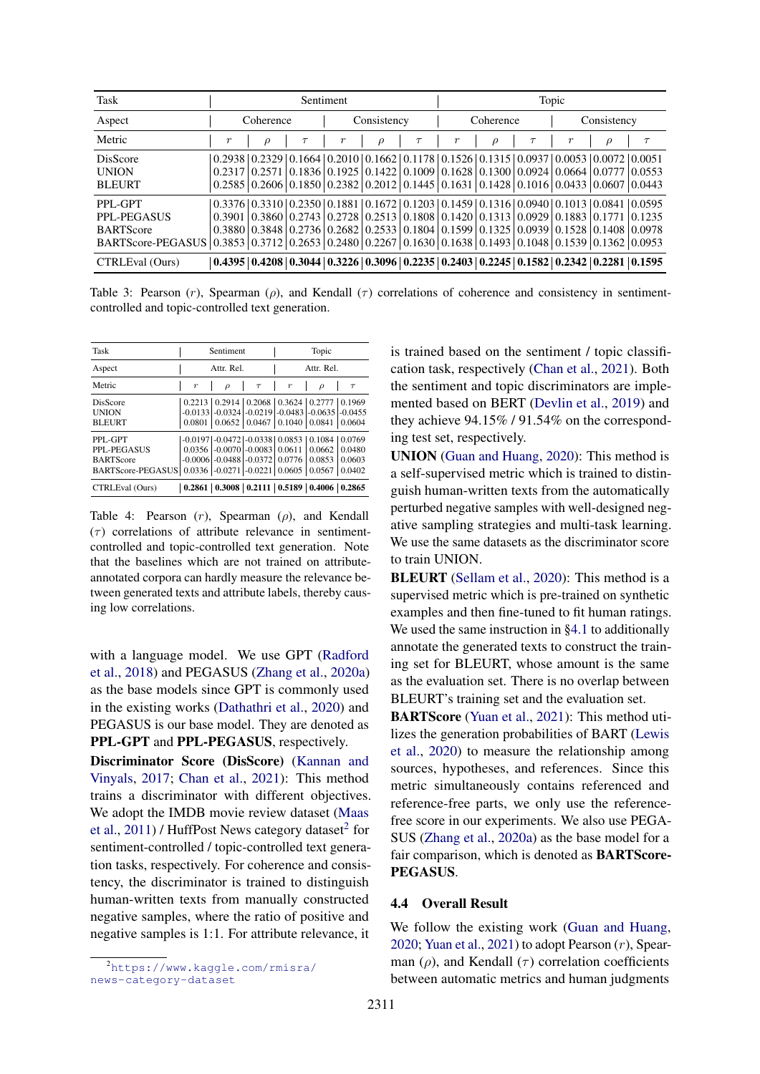<span id="page-5-1"></span>

| Task                                                                                                                          |                  | <b>Sentiment</b> |        |       |             | Topic  |                  |           |        |                  |                                                                                                                                               |        |
|-------------------------------------------------------------------------------------------------------------------------------|------------------|------------------|--------|-------|-------------|--------|------------------|-----------|--------|------------------|-----------------------------------------------------------------------------------------------------------------------------------------------|--------|
| Aspect                                                                                                                        |                  | Coherence        |        |       | Consistency |        |                  | Coherence |        |                  | Consistency                                                                                                                                   |        |
| Metric                                                                                                                        | $\boldsymbol{r}$ | $\rho$           | $\tau$ | $\,r$ | $\rho$      | $\tau$ | $\boldsymbol{r}$ | $\rho$    | $\tau$ | $\boldsymbol{r}$ | $\rho$                                                                                                                                        | $\tau$ |
| <b>DisScore</b>                                                                                                               |                  |                  |        |       |             |        |                  |           |        |                  | $(0.2938 \mid 0.2329 \mid 0.1664 \mid 0.2010 \mid 0.1662 \mid 0.1178 \mid 0.1526 \mid 0.1315 \mid 0.0937 \mid 0.0053 \mid 0.0072 \mid 0.0051$ |        |
| <b>UNION</b>                                                                                                                  |                  |                  |        |       |             |        |                  |           |        |                  | $0.2317 \mid 0.2571 \mid 0.1836 \mid 0.1925 \mid 0.1422 \mid 0.1009 \mid 0.1628 \mid 0.1300 \mid 0.0924 \mid 0.0664 \mid 0.0777 \mid 0.0553$  |        |
| <b>BLEURT</b>                                                                                                                 |                  |                  |        |       |             |        |                  |           |        |                  | $0.2585 \mid 0.2606 \mid 0.1850 \mid 0.2382 \mid 0.2012 \mid 0.1445 \mid 0.1631 \mid 0.1428 \mid 0.1016 \mid 0.0433 \mid 0.0607 \mid 0.0443$  |        |
| PPL-GPT                                                                                                                       |                  |                  |        |       |             |        |                  |           |        |                  | $(0.3376 \mid 0.3310 \mid 0.2350 \mid 0.1881 \mid 0.1672 \mid 0.1203 \mid 0.1459 \mid 0.1316 \mid 0.0940 \mid 0.1013 \mid 0.0841 \mid 0.0595$ |        |
| PPL-PEGASUS                                                                                                                   |                  |                  |        |       |             |        |                  |           |        |                  | $0.3901 \mid 0.3860 \mid 0.2743 \mid 0.2728 \mid 0.2513 \mid 0.1808 \mid 0.1420 \mid 0.1313 \mid 0.0929 \mid 0.1883 \mid 0.1771 \mid 0.1235$  |        |
| <b>BARTScore</b>                                                                                                              |                  |                  |        |       |             |        |                  |           |        |                  | $0.3880$   $0.3848$   $0.2736$   $0.2682$   $0.2533$   $0.1804$   $0.1599$   $0.1325$   $0.0939$   $0.1528$   $0.1408$   $0.0978$             |        |
| BARTScore-PEGASUS   0.3853   0.3712   0.2653   0.2480   0.2267   0.1630   0.1638   0.1493   0.1048   0.1539   0.1362   0.0953 |                  |                  |        |       |             |        |                  |           |        |                  |                                                                                                                                               |        |
| CTRLEval (Ours)                                                                                                               |                  |                  |        |       |             |        |                  |           |        |                  | $(0.4395   0.4208   0.3044   0.3226   0.3096   0.2235   0.2403   0.2245   0.1582   0.2342   0.2281   0.1595)$                                 |        |

Table 3: Pearson  $(r)$ , Spearman  $(\rho)$ , and Kendall  $(\tau)$  correlations of coherence and consistency in sentimentcontrolled and topic-controlled text generation.

<span id="page-5-2"></span>

| Task                                                                                                 |                  | Sentiment                                         |                                     |                  | Topic                                                                                                                      |                  |
|------------------------------------------------------------------------------------------------------|------------------|---------------------------------------------------|-------------------------------------|------------------|----------------------------------------------------------------------------------------------------------------------------|------------------|
| Aspect                                                                                               |                  | Attr. Rel.                                        |                                     |                  | Attr. Rel.                                                                                                                 |                  |
| Metric                                                                                               | $\boldsymbol{r}$ | $\rho$                                            | $\tau$                              | $\boldsymbol{r}$ | $\rho$                                                                                                                     | $\tau$           |
| DisScore<br><b>UNION</b><br><b>BLEURT</b>                                                            | 0.0801           |                                                   | $0.0652$   0.0467   0.1040   0.0841 |                  | $0.2213$   0.2914   0.2068   0.3624   0.2777   0.1969<br>$-0.0133$ $-0.0324$ $-0.0219$ $-0.0483$ $-0.0635$ $-0.0455$       | 0.0604           |
| PPL-GPT<br><b>PPL-PEGASUS</b><br><b>BARTScore</b><br>BARTScore-PEGASUS 0.0336 -0.0271 -0.0221 0.0605 |                  | $-0.0006$ $-0.0488$ $-0.0372$ $-0.0776$ $-0.0853$ |                                     |                  | $-0.0197$ $-0.0472$ $-0.0338$ $-0.0853$ $-0.1084$ $-0.0769$<br>$0.0356$ -0.0070 -0.0083 0.0611 0.0662<br>$0.0567$   0.0402 | 0.0480<br>0.0603 |
| CTRLEval (Ours)                                                                                      |                  |                                                   |                                     |                  | $0.2861$   0.3008   0.2111   0.5189   0.4006   0.2865                                                                      |                  |

Table 4: Pearson  $(r)$ , Spearman  $(\rho)$ , and Kendall  $(\tau)$  correlations of attribute relevance in sentimentcontrolled and topic-controlled text generation. Note that the baselines which are not trained on attributeannotated corpora can hardly measure the relevance between generated texts and attribute labels, thereby causing low correlations.

with a language model. We use GPT [\(Radford](#page-10-19) [et al.,](#page-10-19) [2018\)](#page-10-19) and PEGASUS [\(Zhang et al.,](#page-10-1) [2020a\)](#page-10-1) as the base models since GPT is commonly used in the existing works [\(Dathathri et al.,](#page-8-0) [2020\)](#page-8-0) and PEGASUS is our base model. They are denoted as PPL-GPT and PPL-PEGASUS, respectively.

Discriminator Score (DisScore) [\(Kannan and](#page-9-16) [Vinyals,](#page-9-16) [2017;](#page-9-16) [Chan et al.,](#page-8-1) [2021\)](#page-8-1): This method trains a discriminator with different objectives. We adopt the IMDB movie review dataset [\(Maas](#page-9-17) [et al.,](#page-9-17) [2011\)](#page-9-17) / HuffPost News category dataset<sup>[2](#page-5-0)</sup> for sentiment-controlled / topic-controlled text generation tasks, respectively. For coherence and consistency, the discriminator is trained to distinguish human-written texts from manually constructed negative samples, where the ratio of positive and negative samples is 1:1. For attribute relevance, it

<span id="page-5-0"></span> $^{2}$ [https://www.kaggle.com/rmisra/](https://www.kaggle.com/rmisra/news-category-dataset) [news-category-dataset](https://www.kaggle.com/rmisra/news-category-dataset)

is trained based on the sentiment / topic classification task, respectively [\(Chan et al.,](#page-8-1) [2021\)](#page-8-1). Both the sentiment and topic discriminators are implemented based on BERT [\(Devlin et al.,](#page-8-5) [2019\)](#page-8-5) and they achieve 94.15% / 91.54% on the corresponding test set, respectively.

UNION [\(Guan and Huang,](#page-9-4) [2020\)](#page-9-4): This method is a self-supervised metric which is trained to distinguish human-written texts from the automatically perturbed negative samples with well-designed negative sampling strategies and multi-task learning. We use the same datasets as the discriminator score to train UNION.

BLEURT [\(Sellam et al.,](#page-10-13) [2020\)](#page-10-13): This method is a supervised metric which is pre-trained on synthetic examples and then fine-tuned to fit human ratings. We used the same instruction in [§4.1](#page-4-2) to additionally annotate the generated texts to construct the training set for BLEURT, whose amount is the same as the evaluation set. There is no overlap between BLEURT's training set and the evaluation set.

BARTScore [\(Yuan et al.,](#page-10-3) [2021\)](#page-10-3): This method utilizes the generation probabilities of BART [\(Lewis](#page-9-18) [et al.,](#page-9-18) [2020\)](#page-9-18) to measure the relationship among sources, hypotheses, and references. Since this metric simultaneously contains referenced and reference-free parts, we only use the referencefree score in our experiments. We also use PEGA-SUS [\(Zhang et al.,](#page-10-1) [2020a\)](#page-10-1) as the base model for a fair comparison, which is denoted as BARTScore-PEGASUS.

#### 4.4 Overall Result

We follow the existing work [\(Guan and Huang,](#page-9-4) [2020;](#page-9-4) [Yuan et al.,](#page-10-3) [2021\)](#page-10-3) to adopt Pearson  $(r)$ , Spearman ( $\rho$ ), and Kendall ( $\tau$ ) correlation coefficients between automatic metrics and human judgments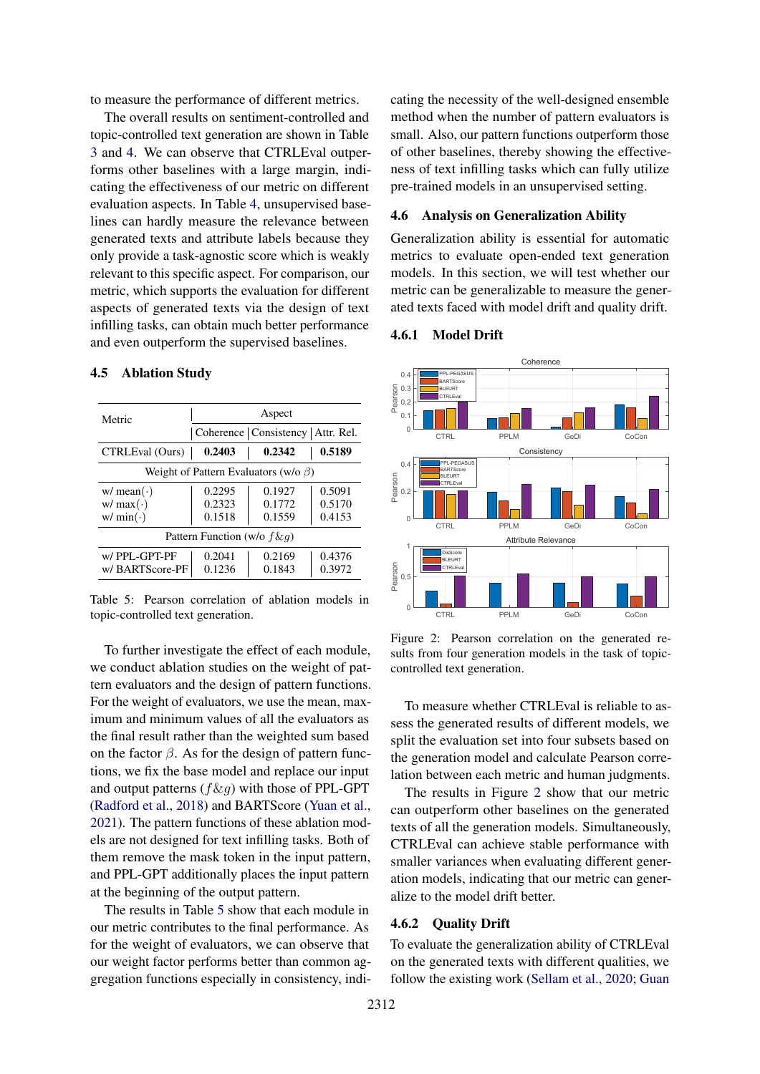to measure the performance of different metrics.

The overall results on sentiment-controlled and topic-controlled text generation are shown in Table [3](#page-5-1) and [4.](#page-5-2) We can observe that CTRLEval outperforms other baselines with a large margin, indicating the effectiveness of our metric on different evaluation aspects. In Table [4,](#page-5-2) unsupervised baselines can hardly measure the relevance between generated texts and attribute labels because they only provide a task-agnostic score which is weakly relevant to this specific aspect. For comparison, our metric, which supports the evaluation for different aspects of generated texts via the design of text infilling tasks, can obtain much better performance and even outperform the supervised baselines.

<span id="page-6-0"></span>

| Metric                                      | Aspect                               |        |        |  |  |  |  |
|---------------------------------------------|--------------------------------------|--------|--------|--|--|--|--|
|                                             | Coherence   Consistency   Attr. Rel. |        |        |  |  |  |  |
| CTRLEval (Ours)                             | 0.2403                               | 0.2342 | 0.5189 |  |  |  |  |
| Weight of Pattern Evaluators (w/o $\beta$ ) |                                      |        |        |  |  |  |  |
| $w/$ mean( $\cdot$ )                        | 0.2295                               | 0.1927 | 0.5091 |  |  |  |  |
| w / max(·)                                  | 0.2323                               | 0.1772 | 0.5170 |  |  |  |  |
| $w/min(\cdot)$                              | 0.1518                               | 0.1559 | 0.4153 |  |  |  |  |
| Pattern Function (w/o $f\&q$ )              |                                      |        |        |  |  |  |  |
| w/PPL-GPT-PF                                | 0.2041                               | 0.2169 | 0.4376 |  |  |  |  |
| w/BARTScore-PF                              | 0.1236                               | 0.1843 | 0.3972 |  |  |  |  |

#### 4.5 Ablation Study

Table 5: Pearson correlation of ablation models in topic-controlled text generation.

To further investigate the effect of each module, we conduct ablation studies on the weight of pattern evaluators and the design of pattern functions. For the weight of evaluators, we use the mean, maximum and minimum values of all the evaluators as the final result rather than the weighted sum based on the factor  $\beta$ . As for the design of pattern functions, we fix the base model and replace our input and output patterns  $(f \& g)$  with those of PPL-GPT [\(Radford et al.,](#page-10-19) [2018\)](#page-10-19) and BARTScore [\(Yuan et al.,](#page-10-3) [2021\)](#page-10-3). The pattern functions of these ablation models are not designed for text infilling tasks. Both of them remove the mask token in the input pattern, and PPL-GPT additionally places the input pattern at the beginning of the output pattern.

The results in Table [5](#page-6-0) show that each module in our metric contributes to the final performance. As for the weight of evaluators, we can observe that our weight factor performs better than common aggregation functions especially in consistency, indicating the necessity of the well-designed ensemble method when the number of pattern evaluators is small. Also, our pattern functions outperform those of other baselines, thereby showing the effectiveness of text infilling tasks which can fully utilize pre-trained models in an unsupervised setting.

### 4.6 Analysis on Generalization Ability

Generalization ability is essential for automatic metrics to evaluate open-ended text generation models. In this section, we will test whether our metric can be generalizable to measure the generated texts faced with model drift and quality drift.

#### 4.6.1 Model Drift

<span id="page-6-1"></span>

Figure 2: Pearson correlation on the generated results from four generation models in the task of topiccontrolled text generation.

To measure whether CTRLEval is reliable to assess the generated results of different models, we split the evaluation set into four subsets based on the generation model and calculate Pearson correlation between each metric and human judgments.

The results in Figure [2](#page-6-1) show that our metric can outperform other baselines on the generated texts of all the generation models. Simultaneously, CTRLEval can achieve stable performance with smaller variances when evaluating different generation models, indicating that our metric can generalize to the model drift better.

#### 4.6.2 Quality Drift

To evaluate the generalization ability of CTRLEval on the generated texts with different qualities, we follow the existing work [\(Sellam et al.,](#page-10-13) [2020;](#page-10-13) [Guan](#page-9-4)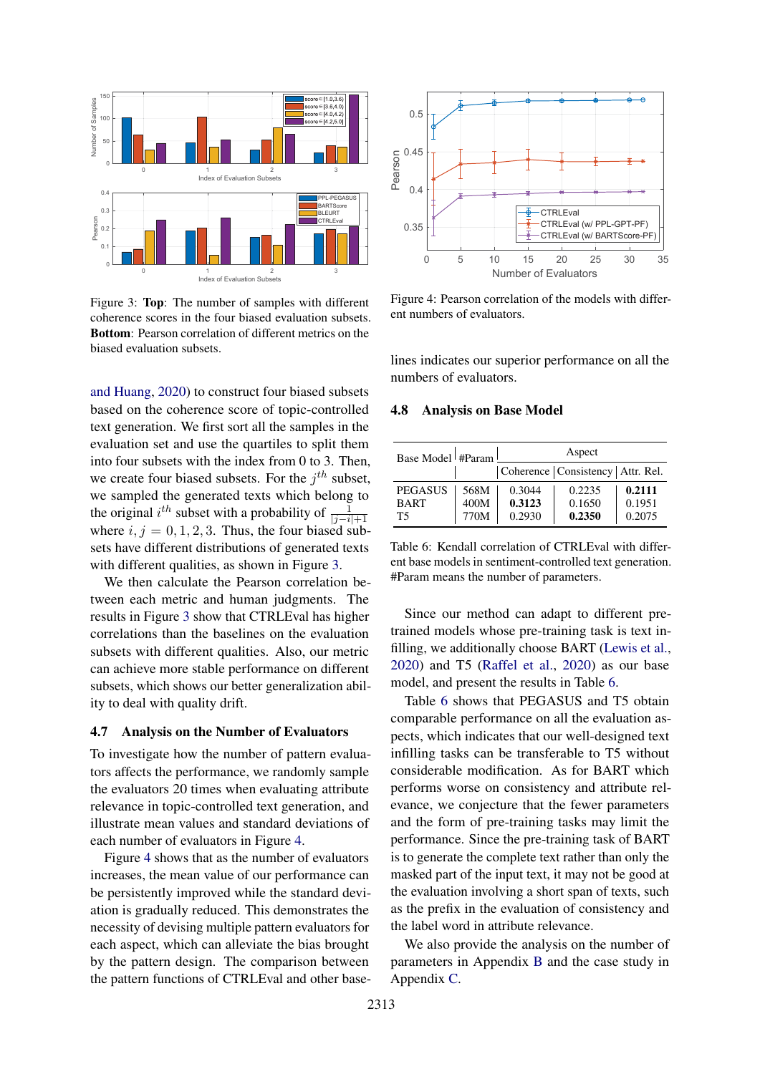<span id="page-7-1"></span>

Figure 3: Top: The number of samples with different coherence scores in the four biased evaluation subsets. Bottom: Pearson correlation of different metrics on the biased evaluation subsets.

[and Huang,](#page-9-4) [2020\)](#page-9-4) to construct four biased subsets based on the coherence score of topic-controlled text generation. We first sort all the samples in the evaluation set and use the quartiles to split them into four subsets with the index from 0 to 3. Then, we create four biased subsets. For the  $j<sup>th</sup>$  subset, we sampled the generated texts which belong to the original  $i^{th}$  subset with a probability of  $\frac{1}{|j-i|+1}$ where  $i, j = 0, 1, 2, 3$ . Thus, the four biased subsets have different distributions of generated texts with different qualities, as shown in Figure [3.](#page-7-1)

We then calculate the Pearson correlation between each metric and human judgments. The results in Figure [3](#page-7-1) show that CTRLEval has higher correlations than the baselines on the evaluation subsets with different qualities. Also, our metric can achieve more stable performance on different subsets, which shows our better generalization ability to deal with quality drift.

### 4.7 Analysis on the Number of Evaluators

To investigate how the number of pattern evaluators affects the performance, we randomly sample the evaluators 20 times when evaluating attribute relevance in topic-controlled text generation, and illustrate mean values and standard deviations of each number of evaluators in Figure [4.](#page-7-2)

Figure [4](#page-7-2) shows that as the number of evaluators increases, the mean value of our performance can be persistently improved while the standard deviation is gradually reduced. This demonstrates the necessity of devising multiple pattern evaluators for each aspect, which can alleviate the bias brought by the pattern design. The comparison between the pattern functions of CTRLEval and other base-

<span id="page-7-2"></span>

Figure 4: Pearson correlation of the models with different numbers of evaluators.

lines indicates our superior performance on all the numbers of evaluators.

#### <span id="page-7-0"></span>4.8 Analysis on Base Model

<span id="page-7-3"></span>

| Base Model $#Param$ |              |                  | Aspect                               |                  |
|---------------------|--------------|------------------|--------------------------------------|------------------|
|                     |              |                  | Coherence   Consistency   Attr. Rel. |                  |
| <b>PEGASUS</b>      | 568M         | 0.3044           | 0.2235                               | 0.2111           |
| <b>BART</b><br>T5   | 400M<br>770M | 0.3123<br>0.2930 | 0.1650<br>0.2350                     | 0.1951<br>0.2075 |

Table 6: Kendall correlation of CTRLEval with different base models in sentiment-controlled text generation. #Param means the number of parameters.

Since our method can adapt to different pretrained models whose pre-training task is text infilling, we additionally choose BART [\(Lewis et al.,](#page-9-18) [2020\)](#page-9-18) and T5 [\(Raffel et al.,](#page-10-20) [2020\)](#page-10-20) as our base model, and present the results in Table [6.](#page-7-3)

Table [6](#page-7-3) shows that PEGASUS and T5 obtain comparable performance on all the evaluation aspects, which indicates that our well-designed text infilling tasks can be transferable to T5 without considerable modification. As for BART which performs worse on consistency and attribute relevance, we conjecture that the fewer parameters and the form of pre-training tasks may limit the performance. Since the pre-training task of BART is to generate the complete text rather than only the masked part of the input text, it may not be good at the evaluation involving a short span of texts, such as the prefix in the evaluation of consistency and the label word in attribute relevance.

We also provide the analysis on the number of parameters in Appendix [B](#page-11-1) and the case study in Appendix [C.](#page-11-2)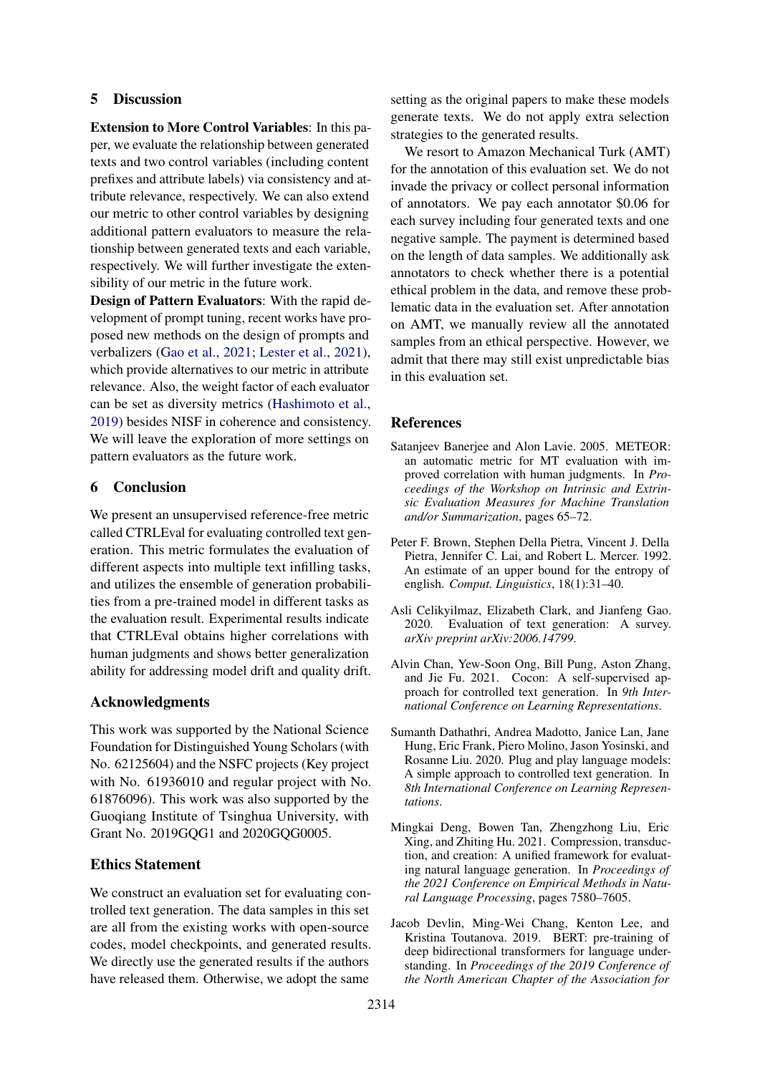## 5 Discussion

Extension to More Control Variables: In this paper, we evaluate the relationship between generated texts and two control variables (including content prefixes and attribute labels) via consistency and attribute relevance, respectively. We can also extend our metric to other control variables by designing additional pattern evaluators to measure the relationship between generated texts and each variable, respectively. We will further investigate the extensibility of our metric in the future work.

Design of Pattern Evaluators: With the rapid development of prompt tuning, recent works have proposed new methods on the design of prompts and verbalizers [\(Gao et al.,](#page-9-19) [2021;](#page-9-19) [Lester et al.,](#page-9-20) [2021\)](#page-9-20), which provide alternatives to our metric in attribute relevance. Also, the weight factor of each evaluator can be set as diversity metrics [\(Hashimoto et al.,](#page-9-2) [2019\)](#page-9-2) besides NISF in coherence and consistency. We will leave the exploration of more settings on pattern evaluators as the future work.

## 6 Conclusion

We present an unsupervised reference-free metric called CTRLEval for evaluating controlled text generation. This metric formulates the evaluation of different aspects into multiple text infilling tasks, and utilizes the ensemble of generation probabilities from a pre-trained model in different tasks as the evaluation result. Experimental results indicate that CTRLEval obtains higher correlations with human judgments and shows better generalization ability for addressing model drift and quality drift.

### Acknowledgments

This work was supported by the National Science Foundation for Distinguished Young Scholars (with No. 62125604) and the NSFC projects (Key project with No. 61936010 and regular project with No. 61876096). This work was also supported by the Guoqiang Institute of Tsinghua University, with Grant No. 2019GOG1 and 2020GOG0005.

## Ethics Statement

We construct an evaluation set for evaluating controlled text generation. The data samples in this set are all from the existing works with open-source codes, model checkpoints, and generated results. We directly use the generated results if the authors have released them. Otherwise, we adopt the same

setting as the original papers to make these models generate texts. We do not apply extra selection strategies to the generated results.

We resort to Amazon Mechanical Turk (AMT) for the annotation of this evaluation set. We do not invade the privacy or collect personal information of annotators. We pay each annotator \$0.06 for each survey including four generated texts and one negative sample. The payment is determined based on the length of data samples. We additionally ask annotators to check whether there is a potential ethical problem in the data, and remove these problematic data in the evaluation set. After annotation on AMT, we manually review all the annotated samples from an ethical perspective. However, we admit that there may still exist unpredictable bias in this evaluation set.

## References

- <span id="page-8-4"></span>Satanjeev Banerjee and Alon Lavie. 2005. METEOR: an automatic metric for MT evaluation with improved correlation with human judgments. In *Proceedings of the Workshop on Intrinsic and Extrinsic Evaluation Measures for Machine Translation and/or Summarization*, pages 65–72.
- <span id="page-8-2"></span>Peter F. Brown, Stephen Della Pietra, Vincent J. Della Pietra, Jennifer C. Lai, and Robert L. Mercer. 1992. An estimate of an upper bound for the entropy of english. *Comput. Linguistics*, 18(1):31–40.
- <span id="page-8-6"></span>Asli Celikyilmaz, Elizabeth Clark, and Jianfeng Gao. 2020. Evaluation of text generation: A survey. *arXiv preprint arXiv:2006.14799*.
- <span id="page-8-1"></span>Alvin Chan, Yew-Soon Ong, Bill Pung, Aston Zhang, and Jie Fu. 2021. Cocon: A self-supervised approach for controlled text generation. In *9th International Conference on Learning Representations*.
- <span id="page-8-0"></span>Sumanth Dathathri, Andrea Madotto, Janice Lan, Jane Hung, Eric Frank, Piero Molino, Jason Yosinski, and Rosanne Liu. 2020. Plug and play language models: A simple approach to controlled text generation. In *8th International Conference on Learning Representations*.
- <span id="page-8-3"></span>Mingkai Deng, Bowen Tan, Zhengzhong Liu, Eric Xing, and Zhiting Hu. 2021. Compression, transduction, and creation: A unified framework for evaluating natural language generation. In *Proceedings of the 2021 Conference on Empirical Methods in Natural Language Processing*, pages 7580–7605.
- <span id="page-8-5"></span>Jacob Devlin, Ming-Wei Chang, Kenton Lee, and Kristina Toutanova. 2019. BERT: pre-training of deep bidirectional transformers for language understanding. In *Proceedings of the 2019 Conference of the North American Chapter of the Association for*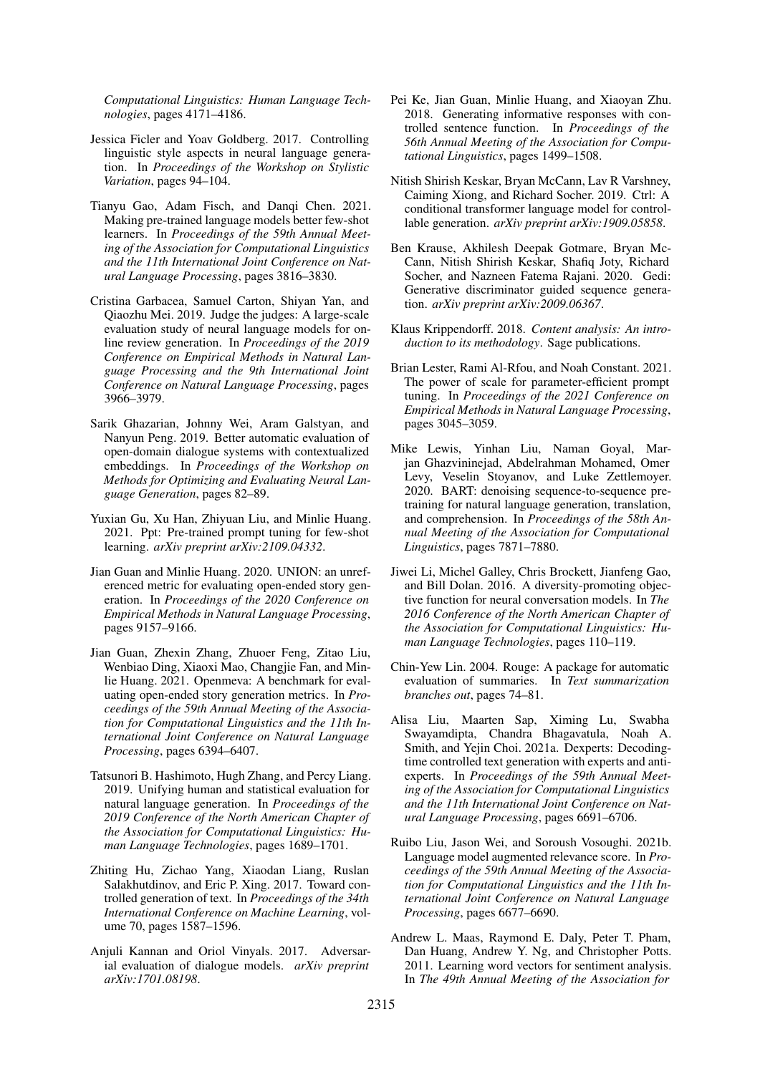*Computational Linguistics: Human Language Technologies*, pages 4171–4186.

- <span id="page-9-5"></span>Jessica Ficler and Yoav Goldberg. 2017. Controlling linguistic style aspects in neural language generation. In *Proceedings of the Workshop on Stylistic Variation*, pages 94–104.
- <span id="page-9-19"></span>Tianyu Gao, Adam Fisch, and Danqi Chen. 2021. Making pre-trained language models better few-shot learners. In *Proceedings of the 59th Annual Meeting of the Association for Computational Linguistics and the 11th International Joint Conference on Natural Language Processing*, pages 3816–3830.
- <span id="page-9-3"></span>Cristina Garbacea, Samuel Carton, Shiyan Yan, and Qiaozhu Mei. 2019. Judge the judges: A large-scale evaluation study of neural language models for online review generation. In *Proceedings of the 2019 Conference on Empirical Methods in Natural Language Processing and the 9th International Joint Conference on Natural Language Processing*, pages 3966–3979.
- <span id="page-9-12"></span>Sarik Ghazarian, Johnny Wei, Aram Galstyan, and Nanyun Peng. 2019. Better automatic evaluation of open-domain dialogue systems with contextualized embeddings. In *Proceedings of the Workshop on Methods for Optimizing and Evaluating Neural Language Generation*, pages 82–89.
- <span id="page-9-13"></span>Yuxian Gu, Xu Han, Zhiyuan Liu, and Minlie Huang. 2021. Ppt: Pre-trained prompt tuning for few-shot learning. *arXiv preprint arXiv:2109.04332*.
- <span id="page-9-4"></span>Jian Guan and Minlie Huang. 2020. UNION: an unreferenced metric for evaluating open-ended story generation. In *Proceedings of the 2020 Conference on Empirical Methods in Natural Language Processing*, pages 9157–9166.
- <span id="page-9-14"></span>Jian Guan, Zhexin Zhang, Zhuoer Feng, Zitao Liu, Wenbiao Ding, Xiaoxi Mao, Changjie Fan, and Minlie Huang. 2021. Openmeva: A benchmark for evaluating open-ended story generation metrics. In *Proceedings of the 59th Annual Meeting of the Association for Computational Linguistics and the 11th International Joint Conference on Natural Language Processing*, pages 6394–6407.
- <span id="page-9-2"></span>Tatsunori B. Hashimoto, Hugh Zhang, and Percy Liang. 2019. Unifying human and statistical evaluation for natural language generation. In *Proceedings of the 2019 Conference of the North American Chapter of the Association for Computational Linguistics: Human Language Technologies*, pages 1689–1701.
- <span id="page-9-6"></span>Zhiting Hu, Zichao Yang, Xiaodan Liang, Ruslan Salakhutdinov, and Eric P. Xing. 2017. Toward controlled generation of text. In *Proceedings of the 34th International Conference on Machine Learning*, volume 70, pages 1587–1596.
- <span id="page-9-16"></span>Anjuli Kannan and Oriol Vinyals. 2017. Adversarial evaluation of dialogue models. *arXiv preprint arXiv:1701.08198*.
- <span id="page-9-7"></span>Pei Ke, Jian Guan, Minlie Huang, and Xiaoyan Zhu. 2018. Generating informative responses with controlled sentence function. In *Proceedings of the 56th Annual Meeting of the Association for Computational Linguistics*, pages 1499–1508.
- <span id="page-9-0"></span>Nitish Shirish Keskar, Bryan McCann, Lav R Varshney, Caiming Xiong, and Richard Socher. 2019. Ctrl: A conditional transformer language model for controllable generation. *arXiv preprint arXiv:1909.05858*.
- <span id="page-9-8"></span>Ben Krause, Akhilesh Deepak Gotmare, Bryan Mc-Cann, Nitish Shirish Keskar, Shafiq Joty, Richard Socher, and Nazneen Fatema Rajani. 2020. Gedi: Generative discriminator guided sequence generation. *arXiv preprint arXiv:2009.06367*.
- <span id="page-9-15"></span>Klaus Krippendorff. 2018. *Content analysis: An introduction to its methodology*. Sage publications.
- <span id="page-9-20"></span>Brian Lester, Rami Al-Rfou, and Noah Constant. 2021. The power of scale for parameter-efficient prompt tuning. In *Proceedings of the 2021 Conference on Empirical Methods in Natural Language Processing*, pages 3045–3059.
- <span id="page-9-18"></span>Mike Lewis, Yinhan Liu, Naman Goyal, Marjan Ghazvininejad, Abdelrahman Mohamed, Omer Levy, Veselin Stoyanov, and Luke Zettlemoyer. 2020. BART: denoising sequence-to-sequence pretraining for natural language generation, translation, and comprehension. In *Proceedings of the 58th Annual Meeting of the Association for Computational Linguistics*, pages 7871–7880.
- <span id="page-9-11"></span>Jiwei Li, Michel Galley, Chris Brockett, Jianfeng Gao, and Bill Dolan. 2016. A diversity-promoting objective function for neural conversation models. In *The 2016 Conference of the North American Chapter of the Association for Computational Linguistics: Human Language Technologies*, pages 110–119.
- <span id="page-9-9"></span>Chin-Yew Lin. 2004. Rouge: A package for automatic evaluation of summaries. In *Text summarization branches out*, pages 74–81.
- <span id="page-9-1"></span>Alisa Liu, Maarten Sap, Ximing Lu, Swabha Swayamdipta, Chandra Bhagavatula, Noah A. Smith, and Yejin Choi. 2021a. Dexperts: Decodingtime controlled text generation with experts and antiexperts. In *Proceedings of the 59th Annual Meeting of the Association for Computational Linguistics and the 11th International Joint Conference on Natural Language Processing*, pages 6691–6706.
- <span id="page-9-10"></span>Ruibo Liu, Jason Wei, and Soroush Vosoughi. 2021b. Language model augmented relevance score. In *Proceedings of the 59th Annual Meeting of the Association for Computational Linguistics and the 11th International Joint Conference on Natural Language Processing*, pages 6677–6690.
- <span id="page-9-17"></span>Andrew L. Maas, Raymond E. Daly, Peter T. Pham, Dan Huang, Andrew Y. Ng, and Christopher Potts. 2011. Learning word vectors for sentiment analysis. In *The 49th Annual Meeting of the Association for*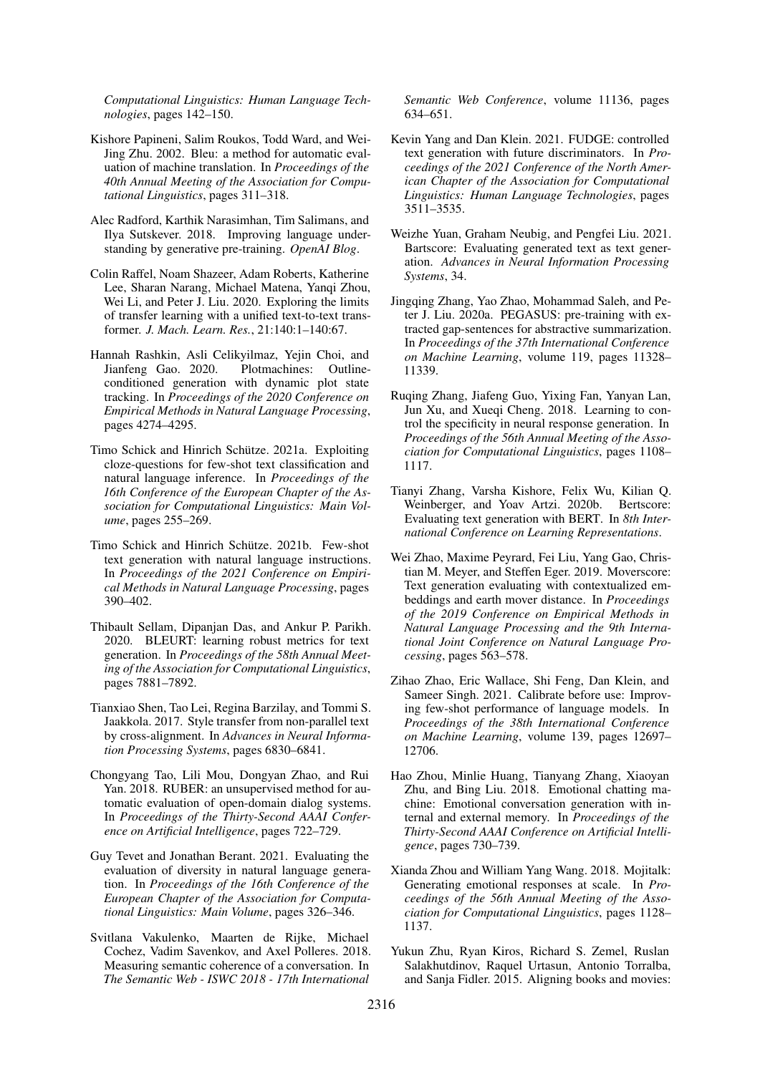*Computational Linguistics: Human Language Technologies*, pages 142–150.

- <span id="page-10-7"></span>Kishore Papineni, Salim Roukos, Todd Ward, and Wei-Jing Zhu. 2002. Bleu: a method for automatic evaluation of machine translation. In *Proceedings of the 40th Annual Meeting of the Association for Computational Linguistics*, pages 311–318.
- <span id="page-10-19"></span>Alec Radford, Karthik Narasimhan, Tim Salimans, and Ilya Sutskever. 2018. Improving language understanding by generative pre-training. *OpenAI Blog*.
- <span id="page-10-20"></span>Colin Raffel, Noam Shazeer, Adam Roberts, Katherine Lee, Sharan Narang, Michael Matena, Yanqi Zhou, Wei Li, and Peter J. Liu. 2020. Exploring the limits of transfer learning with a unified text-to-text transformer. *J. Mach. Learn. Res.*, 21:140:1–140:67.
- <span id="page-10-4"></span>Hannah Rashkin, Asli Celikyilmaz, Yejin Choi, and Jianfeng Gao. 2020. Plotmachines: Outlineconditioned generation with dynamic plot state tracking. In *Proceedings of the 2020 Conference on Empirical Methods in Natural Language Processing*, pages 4274–4295.
- <span id="page-10-14"></span>Timo Schick and Hinrich Schütze. 2021a. Exploiting cloze-questions for few-shot text classification and natural language inference. In *Proceedings of the 16th Conference of the European Chapter of the Association for Computational Linguistics: Main Volume*, pages 255–269.
- <span id="page-10-15"></span>Timo Schick and Hinrich Schütze. 2021b. Few-shot text generation with natural language instructions. In *Proceedings of the 2021 Conference on Empirical Methods in Natural Language Processing*, pages 390–402.
- <span id="page-10-13"></span>Thibault Sellam, Dipanjan Das, and Ankur P. Parikh. 2020. BLEURT: learning robust metrics for text generation. In *Proceedings of the 58th Annual Meeting of the Association for Computational Linguistics*, pages 7881–7892.
- <span id="page-10-11"></span>Tianxiao Shen, Tao Lei, Regina Barzilay, and Tommi S. Jaakkola. 2017. Style transfer from non-parallel text by cross-alignment. In *Advances in Neural Information Processing Systems*, pages 6830–6841.
- <span id="page-10-12"></span>Chongyang Tao, Lili Mou, Dongyan Zhao, and Rui Yan. 2018. RUBER: an unsupervised method for automatic evaluation of open-domain dialog systems. In *Proceedings of the Thirty-Second AAAI Conference on Artificial Intelligence*, pages 722–729.
- <span id="page-10-10"></span>Guy Tevet and Jonathan Berant. 2021. Evaluating the evaluation of diversity in natural language generation. In *Proceedings of the 16th Conference of the European Chapter of the Association for Computational Linguistics: Main Volume*, pages 326–346.
- <span id="page-10-16"></span>Svitlana Vakulenko, Maarten de Rijke, Michael Cochez, Vadim Savenkov, and Axel Polleres. 2018. Measuring semantic coherence of a conversation. In *The Semantic Web - ISWC 2018 - 17th International*

*Semantic Web Conference*, volume 11136, pages 634–651.

- <span id="page-10-0"></span>Kevin Yang and Dan Klein. 2021. FUDGE: controlled text generation with future discriminators. In *Proceedings of the 2021 Conference of the North American Chapter of the Association for Computational Linguistics: Human Language Technologies*, pages 3511–3535.
- <span id="page-10-3"></span>Weizhe Yuan, Graham Neubig, and Pengfei Liu. 2021. Bartscore: Evaluating generated text as text generation. *Advances in Neural Information Processing Systems*, 34.
- <span id="page-10-1"></span>Jingqing Zhang, Yao Zhao, Mohammad Saleh, and Peter J. Liu. 2020a. PEGASUS: pre-training with extracted gap-sentences for abstractive summarization. In *Proceedings of the 37th International Conference on Machine Learning*, volume 119, pages 11328– 11339.
- <span id="page-10-17"></span>Ruqing Zhang, Jiafeng Guo, Yixing Fan, Yanyan Lan, Jun Xu, and Xueqi Cheng. 2018. Learning to control the specificity in neural response generation. In *Proceedings of the 56th Annual Meeting of the Association for Computational Linguistics*, pages 1108– 1117.
- <span id="page-10-9"></span>Tianyi Zhang, Varsha Kishore, Felix Wu, Kilian Q. Weinberger, and Yoav Artzi. 2020b. Bertscore: Evaluating text generation with BERT. In *8th International Conference on Learning Representations*.
- <span id="page-10-8"></span>Wei Zhao, Maxime Peyrard, Fei Liu, Yang Gao, Christian M. Meyer, and Steffen Eger. 2019. Moverscore: Text generation evaluating with contextualized embeddings and earth mover distance. In *Proceedings of the 2019 Conference on Empirical Methods in Natural Language Processing and the 9th International Joint Conference on Natural Language Processing*, pages 563–578.
- <span id="page-10-2"></span>Zihao Zhao, Eric Wallace, Shi Feng, Dan Klein, and Sameer Singh. 2021. Calibrate before use: Improving few-shot performance of language models. In *Proceedings of the 38th International Conference on Machine Learning*, volume 139, pages 12697– 12706.
- <span id="page-10-5"></span>Hao Zhou, Minlie Huang, Tianyang Zhang, Xiaoyan Zhu, and Bing Liu. 2018. Emotional chatting machine: Emotional conversation generation with internal and external memory. In *Proceedings of the Thirty-Second AAAI Conference on Artificial Intelligence*, pages 730–739.
- <span id="page-10-6"></span>Xianda Zhou and William Yang Wang. 2018. Mojitalk: Generating emotional responses at scale. In *Proceedings of the 56th Annual Meeting of the Association for Computational Linguistics*, pages 1128– 1137.
- <span id="page-10-18"></span>Yukun Zhu, Ryan Kiros, Richard S. Zemel, Ruslan Salakhutdinov, Raquel Urtasun, Antonio Torralba, and Sanja Fidler. 2015. Aligning books and movies: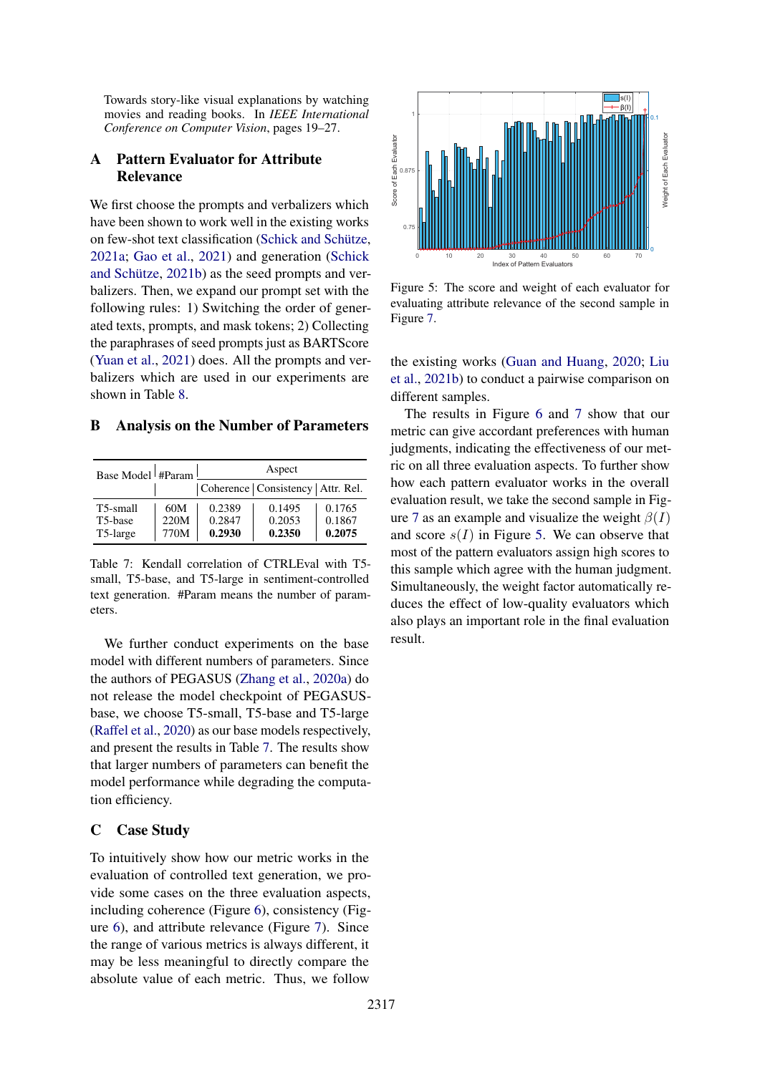Towards story-like visual explanations by watching movies and reading books. In *IEEE International Conference on Computer Vision*, pages 19–27.

## <span id="page-11-0"></span>A Pattern Evaluator for Attribute Relevance

We first choose the prompts and verbalizers which have been shown to work well in the existing works on few-shot text classification [\(Schick and Schütze,](#page-10-14) [2021a;](#page-10-14) [Gao et al.,](#page-9-19) [2021\)](#page-9-19) and generation [\(Schick](#page-10-15) [and Schütze,](#page-10-15) [2021b\)](#page-10-15) as the seed prompts and verbalizers. Then, we expand our prompt set with the following rules: 1) Switching the order of generated texts, prompts, and mask tokens; 2) Collecting the paraphrases of seed prompts just as BARTScore [\(Yuan et al.,](#page-10-3) [2021\)](#page-10-3) does. All the prompts and verbalizers which are used in our experiments are shown in Table [8.](#page-12-0)

#### <span id="page-11-1"></span>B Analysis on the Number of Parameters

<span id="page-11-3"></span>

| Base Model #Param                            |                     | Aspect                     |                                      |                            |  |  |
|----------------------------------------------|---------------------|----------------------------|--------------------------------------|----------------------------|--|--|
|                                              |                     |                            | Coherence   Consistency   Attr. Rel. |                            |  |  |
| T5-small<br>T <sub>5</sub> -base<br>T5-large | 60M<br>220M<br>770M | 0.2389<br>0.2847<br>0.2930 | 0.1495<br>0.2053<br>0.2350           | 0.1765<br>0.1867<br>0.2075 |  |  |

Table 7: Kendall correlation of CTRLEval with T5 small, T5-base, and T5-large in sentiment-controlled text generation. #Param means the number of parameters.

We further conduct experiments on the base model with different numbers of parameters. Since the authors of PEGASUS [\(Zhang et al.,](#page-10-1) [2020a\)](#page-10-1) do not release the model checkpoint of PEGASUSbase, we choose T5-small, T5-base and T5-large [\(Raffel et al.,](#page-10-20) [2020\)](#page-10-20) as our base models respectively, and present the results in Table [7.](#page-11-3) The results show that larger numbers of parameters can benefit the model performance while degrading the computation efficiency.

### <span id="page-11-2"></span>C Case Study

To intuitively show how our metric works in the evaluation of controlled text generation, we provide some cases on the three evaluation aspects, including coherence (Figure [6\)](#page-12-1), consistency (Figure [6\)](#page-12-1), and attribute relevance (Figure [7\)](#page-13-0). Since the range of various metrics is always different, it may be less meaningful to directly compare the absolute value of each metric. Thus, we follow

<span id="page-11-4"></span>

Figure 5: The score and weight of each evaluator for evaluating attribute relevance of the second sample in Figure [7.](#page-13-0)

the existing works [\(Guan and Huang,](#page-9-4) [2020;](#page-9-4) [Liu](#page-9-10) [et al.,](#page-9-10) [2021b\)](#page-9-10) to conduct a pairwise comparison on different samples.

The results in Figure [6](#page-12-1) and [7](#page-13-0) show that our metric can give accordant preferences with human judgments, indicating the effectiveness of our metric on all three evaluation aspects. To further show how each pattern evaluator works in the overall evaluation result, we take the second sample in Fig-ure [7](#page-13-0) as an example and visualize the weight  $\beta(I)$ and score  $s(I)$  in Figure [5.](#page-11-4) We can observe that most of the pattern evaluators assign high scores to this sample which agree with the human judgment. Simultaneously, the weight factor automatically reduces the effect of low-quality evaluators which also plays an important role in the final evaluation result.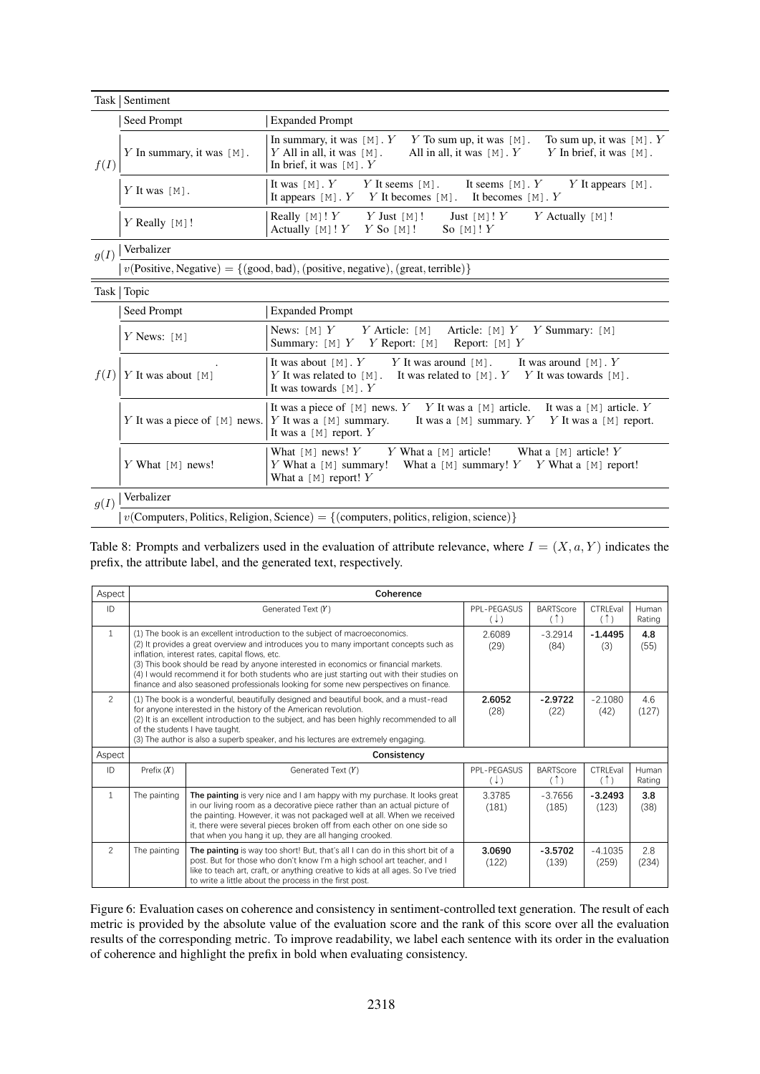<span id="page-12-0"></span>

|      | Task   Sentiment                                                                                                                                       |                                                                                                                                                                                                                         |  |  |  |  |
|------|--------------------------------------------------------------------------------------------------------------------------------------------------------|-------------------------------------------------------------------------------------------------------------------------------------------------------------------------------------------------------------------------|--|--|--|--|
|      | Seed Prompt                                                                                                                                            | <b>Expanded Prompt</b>                                                                                                                                                                                                  |  |  |  |  |
| f(I) | Y In summary, it was $[M]$ .                                                                                                                           | To sum up, it was $[M]$ . Y<br>In summary, it was $[M]$ . $Y$ $Y$ To sum up, it was $[M]$ .<br>Y All in all, it was $[M]$ .<br>All in all, it was $[M]$ . Y<br>Y In brief, it was $[M]$ .<br>In brief, it was $[M]$ . Y |  |  |  |  |
|      | Y It was $[M]$ .                                                                                                                                       | It was $[M]$ . Y<br>Y It seems $[M]$ .<br>It seems $[M]$ . Y<br>Y It appears $[M]$ .<br>It appears $[M]$ . Y<br>Y It becomes $[M]$ . It becomes $[M]$ . Y                                                               |  |  |  |  |
|      | $Y$ Really [M]!                                                                                                                                        | Really [M]! $Y$<br>$Y$ Just [M]!<br>$Y$ Actually [M]!<br>Just $[M]$ ! $Y$<br>Actually $[M]$ ! $Y$<br>$Y$ So [M]!<br>So $[M]'Y$                                                                                          |  |  |  |  |
| g(I) | Verbalizer                                                                                                                                             |                                                                                                                                                                                                                         |  |  |  |  |
|      |                                                                                                                                                        | $v(Positive, Negative) = \{(good, bad), (positive, negative), (great, terrible)\}\$                                                                                                                                     |  |  |  |  |
|      | Task   Topic                                                                                                                                           |                                                                                                                                                                                                                         |  |  |  |  |
|      | Seed Prompt                                                                                                                                            | <b>Expanded Prompt</b>                                                                                                                                                                                                  |  |  |  |  |
|      | News: $[M]$ Y<br>$Y$ Article: [M]<br>Article: $[M]$ $Y$ $Y$ Summary: $[M]$<br>$Y$ News: [M]<br>Report: $[M]$ Y<br>Summary: $[M]$ $Y$ $Y$ Report: $[M]$ |                                                                                                                                                                                                                         |  |  |  |  |
| f(I) | $Y$ It was about [M]                                                                                                                                   | It was about $[M]$ . Y It was around $[M]$ . It was around $[M]$ . Y<br>Y It was related to $[M]$ .<br>It was related to $[M]$ . $Y$ $Y$ It was towards $[M]$ .<br>It was towards $[M]$ . Y                             |  |  |  |  |
|      | Y It was a piece of [M] news.   Y It was a [M] summary.                                                                                                | It was a piece of [M] news. $Y$ $Y$ It was a [M] article. It was a [M] article. $Y$<br>It was a [M] summary, $Y$ $Y$ It was a [M] report.<br>It was a $[M]$ report. Y                                                   |  |  |  |  |
|      | Y What $[M]$ news!                                                                                                                                     | Y What a $[M]$ article!<br>What a $[M]$ article! Y<br>What $[M]$ news! Y<br>Y What a $[M]$ summary!<br>What a $[M]$ summary! Y Y What a $[M]$ report!<br>What a [M] report! $Y$                                         |  |  |  |  |
| g(I) | Verbalizer                                                                                                                                             |                                                                                                                                                                                                                         |  |  |  |  |
|      | $v$ (Computers, Politics, Religion, Science) = {(computers, politics, religion, science)}                                                              |                                                                                                                                                                                                                         |  |  |  |  |

Table 8: Prompts and verbalizers used in the evaluation of attribute relevance, where  $I = (X, a, Y)$  indicates the prefix, the attribute label, and the generated text, respectively.

<span id="page-12-1"></span>

| Aspect         |              | Coherence                                                                                                                                                                                                                                                                                                                                                                                                                                                                                              |                               |                         |                    |                 |
|----------------|--------------|--------------------------------------------------------------------------------------------------------------------------------------------------------------------------------------------------------------------------------------------------------------------------------------------------------------------------------------------------------------------------------------------------------------------------------------------------------------------------------------------------------|-------------------------------|-------------------------|--------------------|-----------------|
| ID             |              | Generated Text (Y)                                                                                                                                                                                                                                                                                                                                                                                                                                                                                     | PPL-PEGASUS<br>$(\downarrow)$ | <b>BARTScore</b><br>(1) | CTRLEval<br>(1)    | Human<br>Rating |
| $\mathbf{1}$   |              | (1) The book is an excellent introduction to the subject of macroeconomics.<br>(2) It provides a great overview and introduces you to many important concepts such as<br>inflation, interest rates, capital flows, etc.<br>(3) This book should be read by anyone interested in economics or financial markets.<br>(4) I would recommend it for both students who are just starting out with their studies on<br>finance and also seasoned professionals looking for some new perspectives on finance. | 2.6089<br>(29)                | $-3.2914$<br>(84)       | $-1.4495$<br>(3)   | 4.8<br>(55)     |
| $\overline{2}$ |              | (1) The book is a wonderful, beautifully designed and beautiful book, and a must-read<br>for anyone interested in the history of the American revolution.<br>(2) It is an excellent introduction to the subject, and has been highly recommended to all<br>of the students I have taught.<br>(3) The author is also a superb speaker, and his lectures are extremely engaging.                                                                                                                         | 2.6052<br>(28)                | $-2.9722$<br>(22)       | $-2.1080$<br>(42)  | 4.6<br>(127)    |
| Aspect         |              | Consistency                                                                                                                                                                                                                                                                                                                                                                                                                                                                                            |                               |                         |                    |                 |
| ID             | Prefix $(X)$ | Generated Text (Y)                                                                                                                                                                                                                                                                                                                                                                                                                                                                                     | PPL-PEGASUS<br>$(\downarrow)$ | <b>BARTScore</b><br>(1) | CTRLEval<br>(1)    | Human<br>Rating |
| $\mathbf{1}$   | The painting | The painting is very nice and I am happy with my purchase. It looks great<br>in our living room as a decorative piece rather than an actual picture of<br>the painting. However, it was not packaged well at all. When we received<br>it, there were several pieces broken off from each other on one side so<br>that when you hang it up, they are all hanging crooked.                                                                                                                               | 3.3785<br>(181)               | $-3.7656$<br>(185)      | $-3.2493$<br>(123) | 3.8<br>(38)     |
| 2              | The painting | The painting is way too short! But, that's all I can do in this short bit of a<br>post. But for those who don't know I'm a high school art teacher, and I<br>like to teach art, craft, or anything creative to kids at all ages. So I've tried<br>to write a little about the process in the first post.                                                                                                                                                                                               | 3.0690<br>(122)               | $-3.5702$<br>(139)      | $-4.1035$<br>(259) | 2.8<br>(234)    |

Figure 6: Evaluation cases on coherence and consistency in sentiment-controlled text generation. The result of each metric is provided by the absolute value of the evaluation score and the rank of this score over all the evaluation results of the corresponding metric. To improve readability, we label each sentence with its order in the evaluation of coherence and highlight the prefix in bold when evaluating consistency.